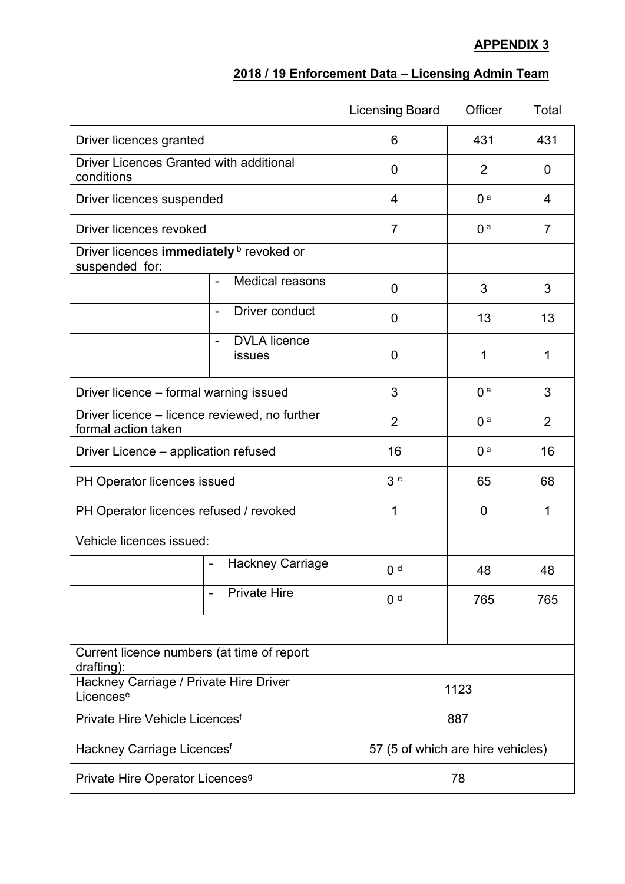## **APPENDIX 3**

## **2018 / 19 Enforcement Data – Licensing Admin Team**

|                                                                      |                                                           | <b>Licensing Board</b>            | Officer        | Total          |
|----------------------------------------------------------------------|-----------------------------------------------------------|-----------------------------------|----------------|----------------|
| Driver licences granted                                              |                                                           | 6                                 | 431            | 431            |
| <b>Driver Licences Granted with additional</b><br>conditions         |                                                           | $\overline{0}$                    | $\overline{2}$ | $\mathbf 0$    |
| Driver licences suspended                                            |                                                           | 4                                 | 0 <sup>a</sup> | 4              |
| Driver licences revoked                                              |                                                           | $\overline{7}$                    | 0 <sup>a</sup> | 7              |
| Driver licences immediately <b>b</b> revoked or<br>suspended for:    |                                                           |                                   |                |                |
|                                                                      | Medical reasons                                           | 0                                 | 3              | 3              |
|                                                                      | Driver conduct<br>$\qquad \qquad -$                       | 0                                 | 13             | 13             |
|                                                                      | <b>DVLA</b> licence<br>$\overline{\phantom{0}}$<br>issues | $\overline{0}$                    | 1              | 1              |
| Driver licence – formal warning issued                               |                                                           | 3                                 | 0 <sup>a</sup> | 3              |
| Driver licence – licence reviewed, no further<br>formal action taken |                                                           | $\overline{2}$                    | 0 <sup>a</sup> | $\overline{2}$ |
| Driver Licence – application refused                                 |                                                           | 16                                | 0 <sup>a</sup> | 16             |
| PH Operator licences issued                                          |                                                           | 3c                                | 65             | 68             |
| PH Operator licences refused / revoked                               |                                                           | 1                                 | 0              | 1              |
| Vehicle licences issued:                                             |                                                           |                                   |                |                |
|                                                                      | Hackney Carriage<br>$\blacksquare$                        | 0 <sup>d</sup>                    | 48             | 48             |
|                                                                      | <b>Private Hire</b>                                       | 0 <sup>d</sup>                    | 765            | 765            |
|                                                                      |                                                           |                                   |                |                |
| Current licence numbers (at time of report<br>drafting):             |                                                           |                                   |                |                |
| Hackney Carriage / Private Hire Driver<br>Licences <sup>e</sup>      |                                                           | 1123                              |                |                |
| Private Hire Vehicle Licences <sup>f</sup>                           |                                                           | 887                               |                |                |
| Hackney Carriage Licences <sup>f</sup>                               |                                                           | 57 (5 of which are hire vehicles) |                |                |
| Private Hire Operator Licences <sup>9</sup>                          |                                                           | 78                                |                |                |